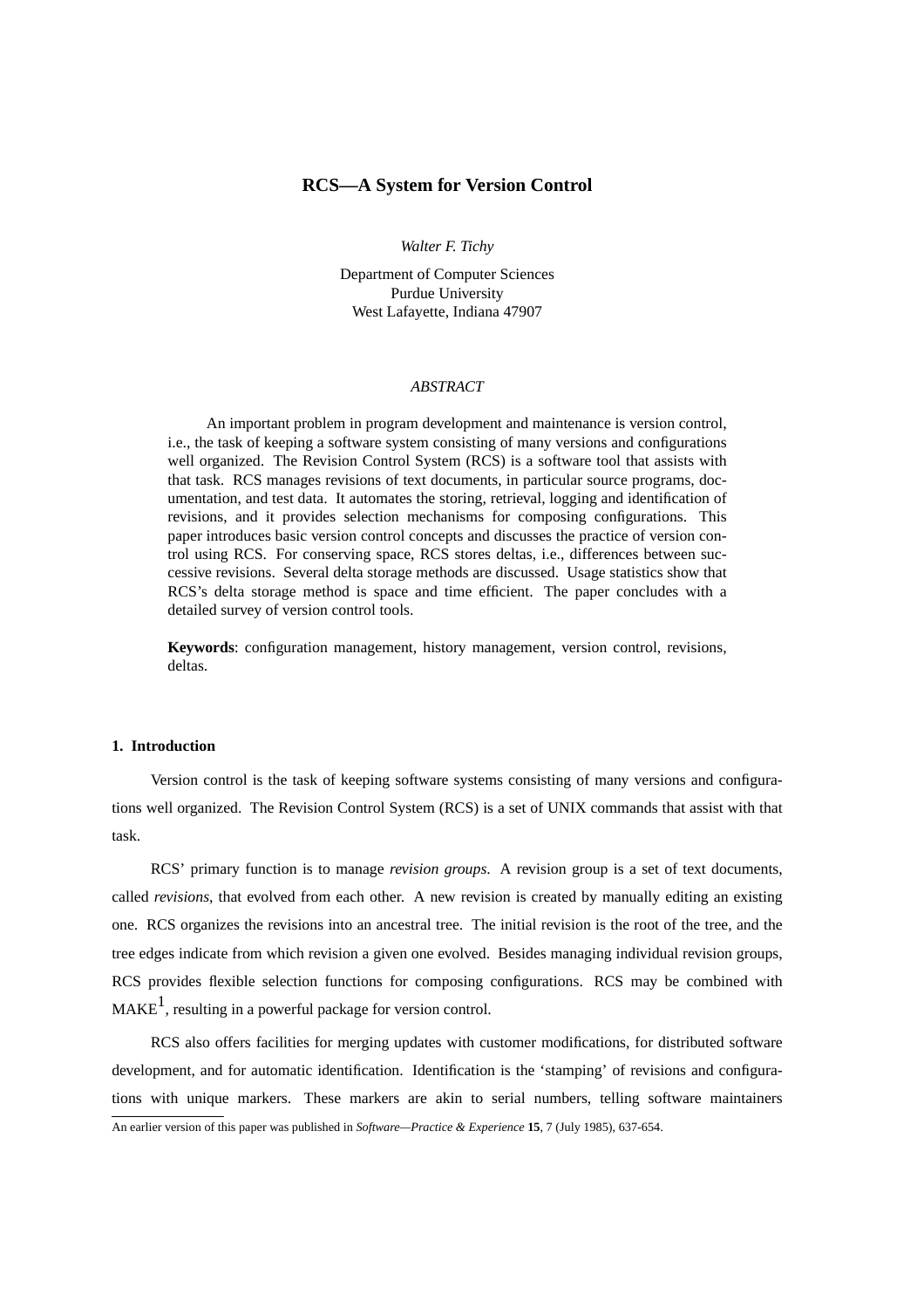# **RCS—A System for Version Control**

*Walter F. Tichy*

Department of Computer Sciences Purdue University West Lafayette, Indiana 47907

## *ABSTRACT*

An important problem in program development and maintenance is version control, i.e., the task of keeping a software system consisting of many versions and configurations well organized. The Revision Control System (RCS) is a software tool that assists with that task. RCS manages revisions of text documents, in particular source programs, documentation, and test data. It automates the storing, retrieval, logging and identification of revisions, and it provides selection mechanisms for composing configurations. This paper introduces basic version control concepts and discusses the practice of version control using RCS. For conserving space, RCS stores deltas, i.e., differences between successive revisions. Several delta storage methods are discussed. Usage statistics show that RCS's delta storage method is space and time efficient. The paper concludes with a detailed survey of version control tools.

**Keywords**: configuration management, history management, version control, revisions, deltas.

# **1. Introduction**

Version control is the task of keeping software systems consisting of many versions and configurations well organized. The Revision Control System (RCS) is a set of UNIX commands that assist with that task.

RCS' primary function is to manage *revision groups*. A revision group is a set of text documents, called *revisions*, that evolved from each other. A new revision is created by manually editing an existing one. RCS organizes the revisions into an ancestral tree. The initial revision is the root of the tree, and the tree edges indicate from which revision a given one evolved. Besides managing individual revision groups, RCS provides flexible selection functions for composing configurations. RCS may be combined with MAKE<sup>1</sup>, resulting in a powerful package for version control.

RCS also offers facilities for merging updates with customer modifications, for distributed software development, and for automatic identification. Identification is the 'stamping' of revisions and configurations with unique markers. These markers are akin to serial numbers, telling software maintainers An earlier version of this paper was published in *Software—Practice & Experience* **15**,7(July 1985), 637-654.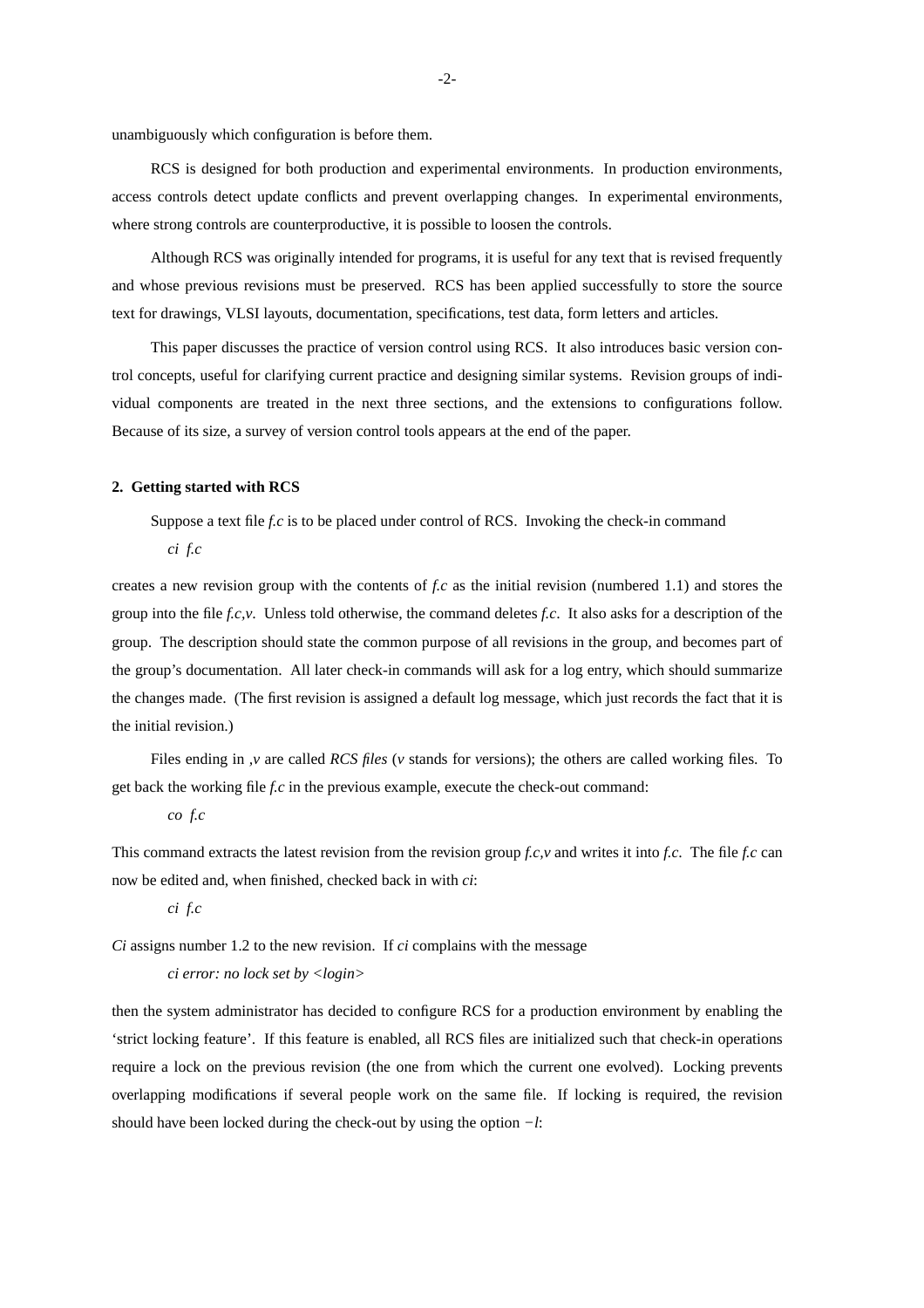unambiguously which configuration is before them.

RCS is designed for both production and experimental environments. In production environments, access controls detect update conflicts and prevent overlapping changes. In experimental environments, where strong controls are counterproductive, it is possible to loosen the controls.

Although RCS was originally intended for programs, it is useful for any text that is revised frequently and whose previous revisions must be preserved. RCS has been applied successfully to store the source text for drawings, VLSI layouts, documentation, specifications, test data, form letters and articles.

This paper discusses the practice of version control using RCS. It also introduces basic version control concepts, useful for clarifying current practice and designing similar systems. Revision groups of individual components are treated in the next three sections, and the extensions to configurations follow. Because of its size, a survey of version control tools appears at the end of the paper.

## **2. Getting started with RCS**

Suppose a text file *f.c* is to be placed under control of RCS. Invoking the check-in command *ci f.c*

creates a new revision group with the contents of *f.c* as the initial revision (numbered 1.1) and stores the group into the file *f.c,v*. Unless told otherwise, the command deletes *f.c*. It also asks for a description of the group. The description should state the common purpose of all revisions in the group, and becomes part of the group's documentation. All later check-in commands will ask for a log entry, which should summarize the changes made. (The first revision is assigned a default log message, which just records the fact that it is the initial revision.)

Files ending in *y* are called *RCS files* (*v* stands for *versions*); the others are called working files. To get back the working file *f.c* in the previous example, execute the check-out command:

*co f.c*

This command extracts the latest revision from the revision group *f.c,v* and writes it into *f.c*. The file *f.c* can now be edited and, when finished, checked back in with *ci*:

*ci f.c*

*Ci* assigns number 1.2 to the new revision. If *ci* complains with the message

*ci error: no lock set by <login>*

then the system administrator has decided to configure RCS for a production environment by enabling the 'strict locking feature'. If this feature is enabled, all RCS files are initialized such that check-in operations require a lock on the previous revision (the one from which the current one evolved). Locking prevents overlapping modifications if several people work on the same file. If locking is required, the revision should have been locked during the check-out by using the option *−l*: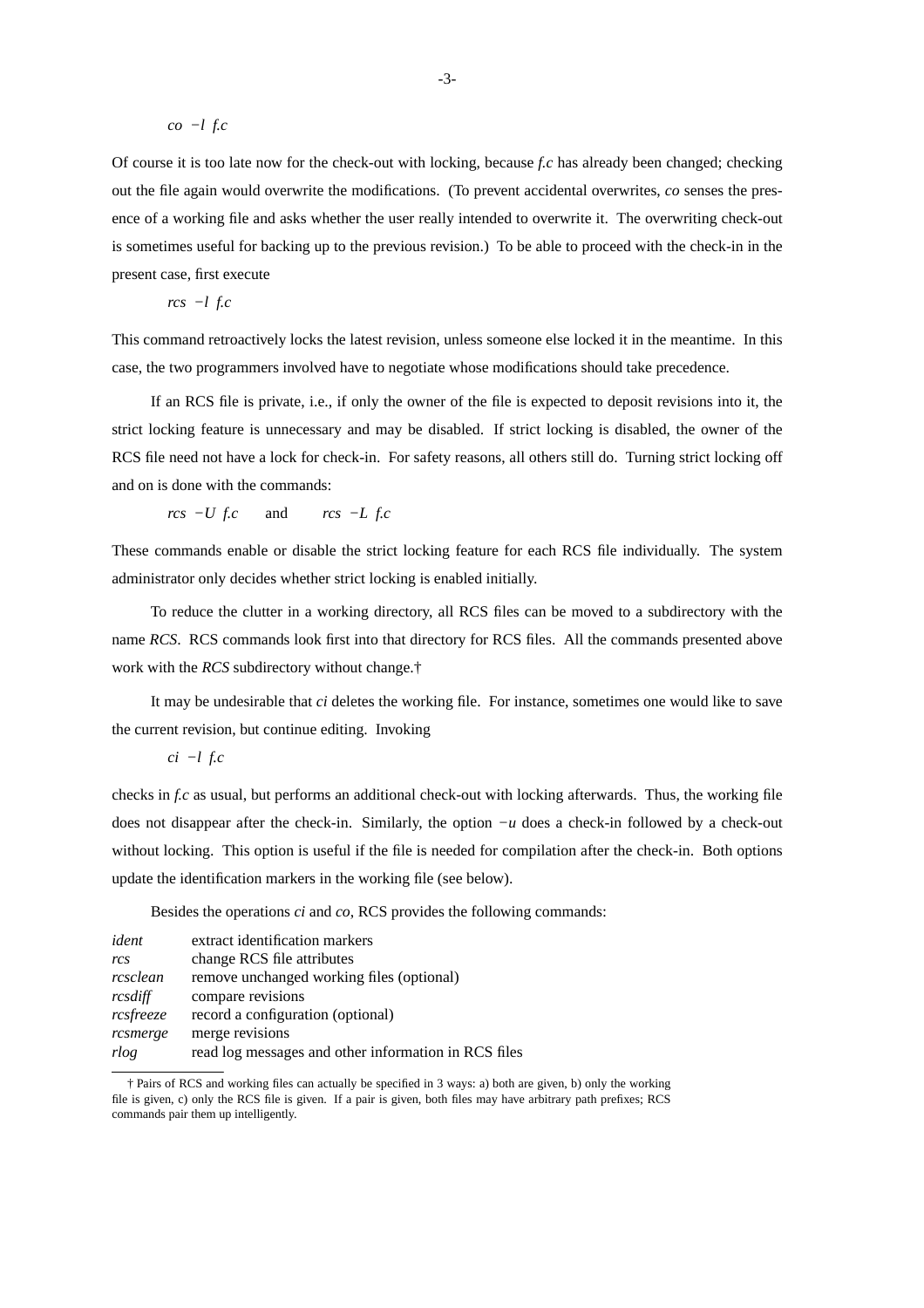## *co −l f.c*

Of course it is too late now for the check-out with locking, because *f.c* has already been changed; checking out the file again would overwrite the modifications. (To prevent accidental overwrites, *co* senses the presence of a working file and asks whether the user really intended to overwrite it. The overwriting check-out is sometimes useful for backing up to the previous revision.) To be able to proceed with the check-in in the present case, first execute

*rcs −l f.c*

This command retroactively locks the latest revision, unless someone else locked it in the meantime. In this case, the two programmers involved have to negotiate whose modifications should take precedence.

If an RCS file is private, i.e., if only the owner of the file is expected to deposit revisions into it, the strict locking feature is unnecessary and may be disabled. If strict locking is disabled, the owner of the RCS file need not have a lock for check-in. For safety reasons, all others still do. Turning strict locking off and on is done with the commands:

*rcs −U f.c* and *rcs −L f.c*

These commands enable or disable the strict locking feature for each RCS file individually. The system administrator only decides whether strict locking is enabled initially.

To reduce the clutter in a working directory, all RCS files can be moved to a subdirectory with the name *RCS*. RCS commands look first into that directory for RCS files. All the commands presented above work with the *RCS* subdirectory without change.†

It may be undesirable that *ci* deletes the working file. For instance, sometimes one would like to save the current revision, but continue editing. Invoking

*ci −l f.c*

checks in *f.c* as usual, but performs an additional check-out with locking afterwards. Thus, the working file does not disappear after the check-in. Similarly, the option *−u* does a check-in followed by a check-out without locking. This option is useful if the file is needed for compilation after the check-in. Both options update the identification markers in the working file (see below).

Besides the operations *ci* and *co*, RCS provides the following commands:

| ident     | extract identification markers                       |
|-----------|------------------------------------------------------|
| rcs       | change RCS file attributes                           |
| rcsclean  | remove unchanged working files (optional)            |
| rcsdiff   | compare revisions                                    |
| rcsfreeze | record a configuration (optional)                    |
| rcsmerge  | merge revisions                                      |
| rlog      | read log messages and other information in RCS files |

<sup>†</sup> Pairs of RCS and working files can actually be specified in 3 ways: a) both are given, b) only the working file is given, c) only the RCS file is given. If a pair is given, both files may have arbitrary path prefixes; RCS commands pair them up intelligently.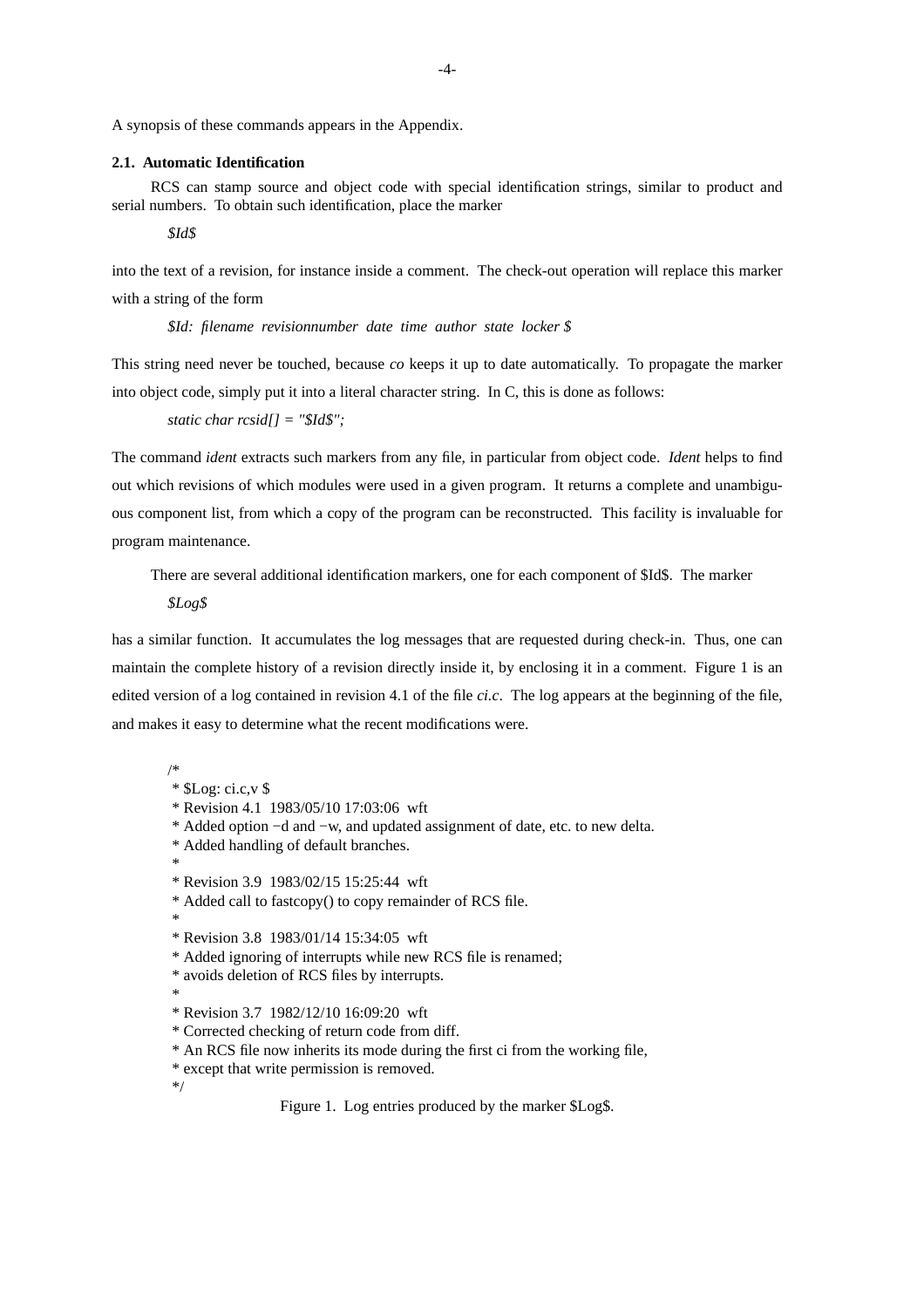A synopsis of these commands appears in the Appendix.

## **2.1. Automatic Identification**

RCS can stamp source and object code with special identification strings, similar to product and serial numbers. To obtain such identification, place the marker

*\$Id\$*

into the text of a revision, for instance inside a comment. The check-out operation will replace this marker with a string of the form

*\$Id: filename revisionnumber date time author state locker \$*

This string need never be touched, because *co* keeps it up to date automatically. To propagate the marker into object code, simply put it into a literal character string. In C, this is done as follows:

*static char rcsid[] = "\$Id\$";*

The command *ident* extracts such markers from any file, in particular from object code. *Ident* helps to find out which revisions of which modules were used in a given program. It returns a complete and unambiguous component list, from which a copy of the program can be reconstructed. This facility is invaluable for program maintenance.

There are several additional identification markers, one for each component of \$Id\$. The marker

*\$Log\$*

has a similar function. It accumulates the log messages that are requested during check-in. Thus, one can maintain the complete history of a revision directly inside it, by enclosing it in a comment. Figure 1 is an edited version of a log contained in revision 4.1 of the file *ci.c*. The log appears at the beginning of the file, and makes it easy to determine what the recent modifications were.

/\*

\*

- \* \$Log: ci.c,v \$
- \* Revision 4.1 1983/05/10 17:03:06 wft
- \* Added option −d and −w, and updated assignment of date, etc. to new delta.
- \* Added handling of default branches.
- \* Revision 3.9 1983/02/15 15:25:44 wft
- \* Added call to fastcopy() to copy remainder of RCS file.
- \* \* Revision 3.8 1983/01/14 15:34:05 wft
- \* Added ignoring of interrupts while new RCS file is renamed;
- \* avoids deletion of RCS files by interrupts.
- \*
- \* Revision 3.7 1982/12/10 16:09:20 wft
- \* Corrected checking of return code from diff.
- \* An RCS file now inherits its mode during the first ci from the working file,
- \* except that write permission is removed.

\*/

Figure 1. Log entries produced by the marker \$Log\$.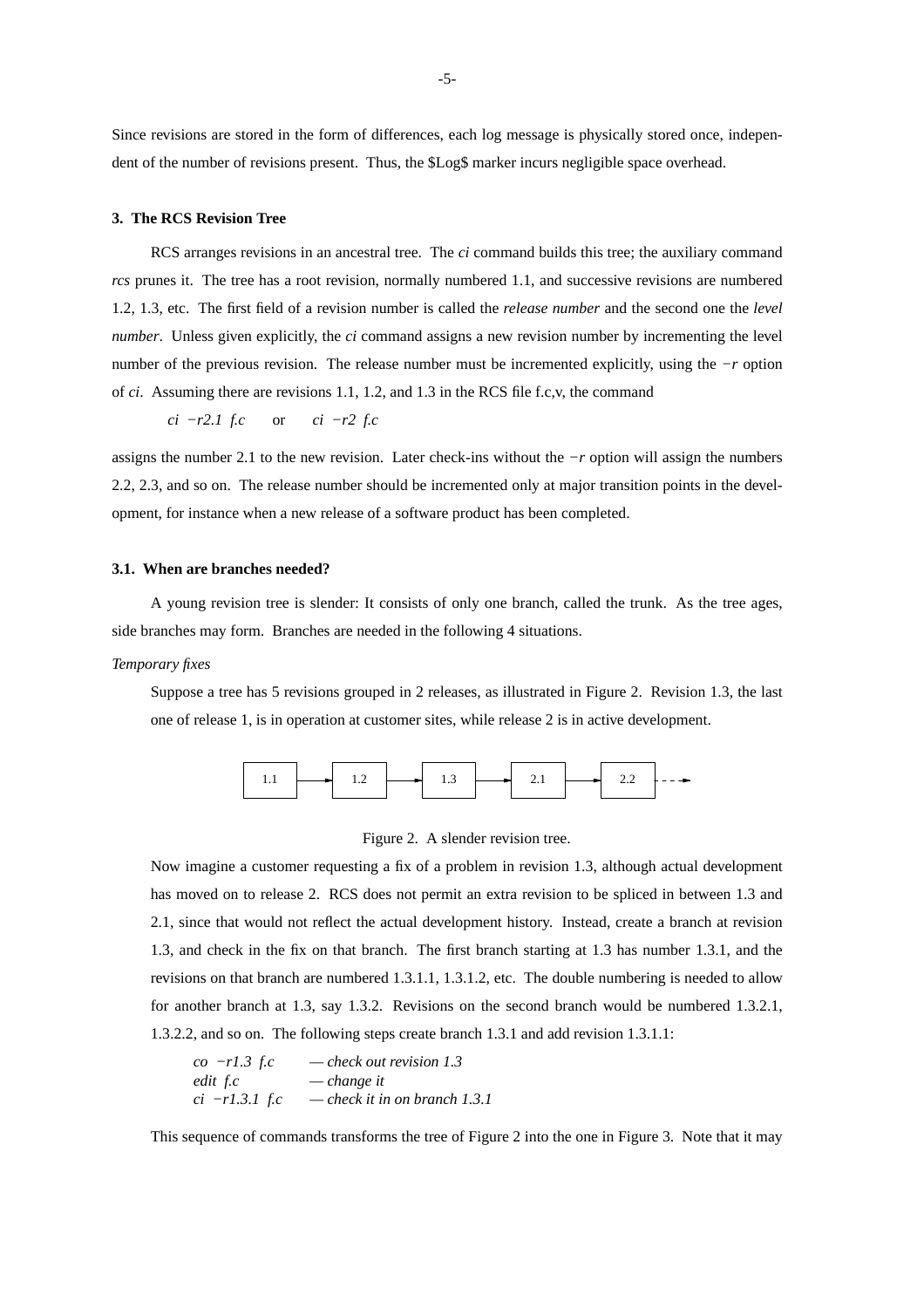Since revisions are stored in the form of differences, each log message is physically stored once, independent of the number of revisions present. Thus, the \$Log\$ marker incurs negligible space overhead.

## **3. The RCS Revision Tree**

RCS arranges revisions in an ancestral tree. The *ci* command builds this tree; the auxiliary command *rcs* prunes it. The tree has a root revision, normally numbered 1.1, and successive revisions are numbered 1.2, 1.3, etc. The first field of a revision number is called the *release number* and the second one the *level number*. Unless given explicitly, the *ci* command assigns a new revision number by incrementing the level number of the previous revision. The release number must be incremented explicitly, using the *−r* option of *ci*. Assuming there are revisions 1.1, 1.2, and 1.3 in the RCS file f.c,v, the command

$$
ci - r2.1 f.c \qquad or \qquad ci - r2 f.c
$$

assigns the number 2.1 to the new revision. Later check-ins without the *−r* option will assign the numbers 2.2, 2.3, and so on. The release number should be incremented only at major transition points in the development, for instance when a new release of a software product has been completed.

## **3.1. When are branches needed?**

A young revision tree is slender: It consists of only one branch, called the trunk. As the tree ages, side branches may form. Branches are needed in the following 4 situations.

## *Temporary fixes*

Suppose a tree has 5 revisions grouped in 2 releases, as illustrated in Figure 2. Revision 1.3, the last one of release 1, is in operation at customer sites, while release 2 is in active development.



#### Figure 2. A slender revision tree.

Now imagine a customer requesting a fix of a problem in revision 1.3, although actual development has moved on to release 2. RCS does not permit an extra revision to be spliced in between 1.3 and 2.1, since that would not reflect the actual development history. Instead, create a branch at revision 1.3, and check in the fix on that branch. The first branch starting at 1.3 has number 1.3.1, and the revisions on that branch are numbered 1.3.1.1, 1.3.1.2, etc. The double numbering is needed to allow for another branch at 1.3, say 1.3.2. Revisions on the second branch would be numbered 1.3.2.1, 1.3.2.2, and so on. The following steps create branch 1.3.1 and add revision 1.3.1.1:

$$
co -r1.3 f.c
$$
 — check out revision 1.3  
edit f.c — change it  
ci -r1.3.1 f.c — check it in on branch 1.3.1

This sequence of commands transforms the tree of Figure 2 into the one in Figure 3. Note that it may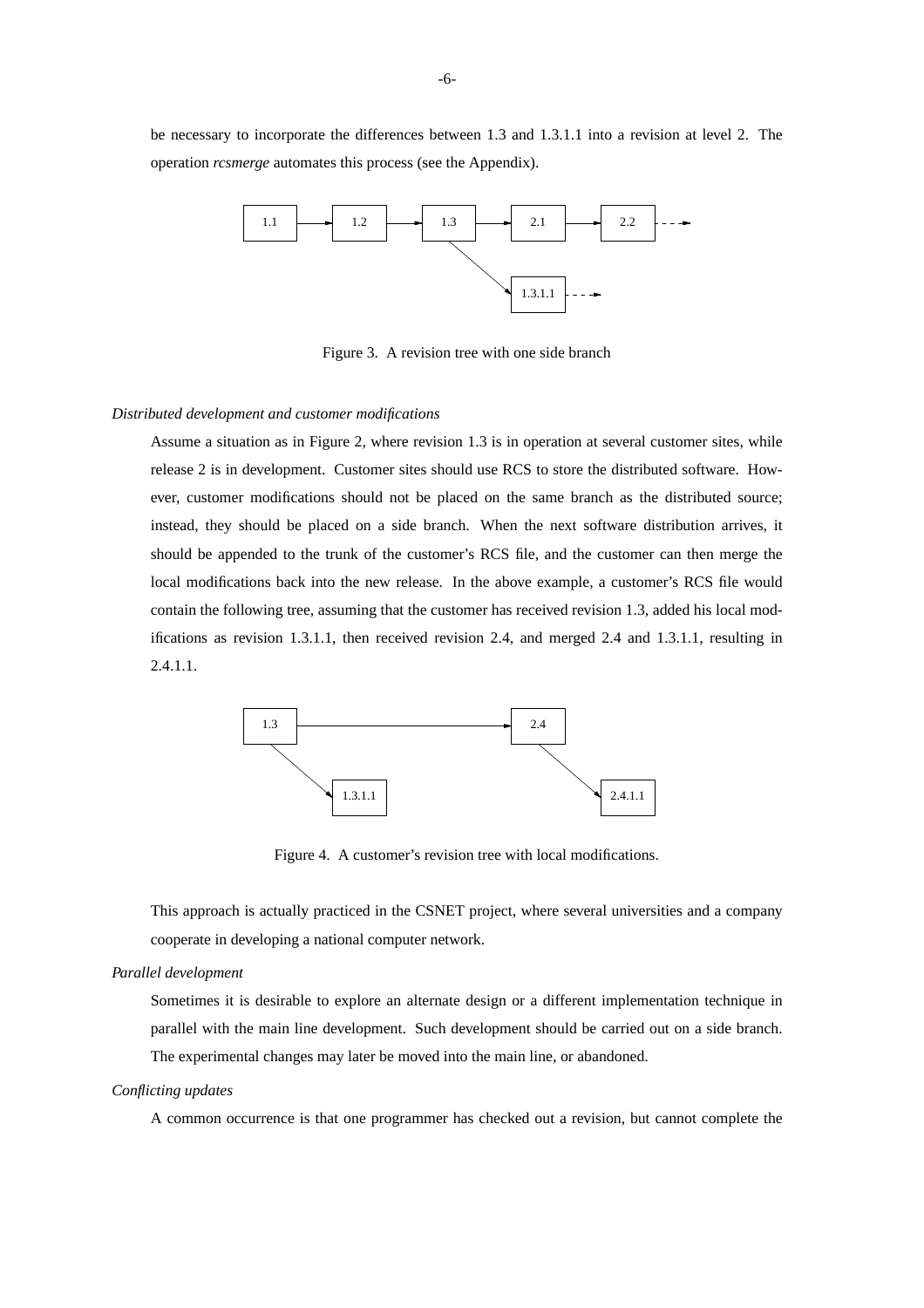

Figure 3. A revision tree with one side branch

#### *Distributed development and customer modifications*

Assume a situation as in Figure 2, where revision 1.3 is in operation at several customer sites, while release 2 is in development. Customer sites should use RCS to store the distributed software. However, customer modifications should not be placed on the same branch as the distributed source; instead, they should be placed on a side branch. When the next software distribution arrives, it should be appended to the trunk of the customer's RCS file, and the customer can then merge the local modifications back into the new release. In the above example, a customer's RCS file would contain the following tree, assuming that the customer has received revision 1.3, added his local modifications as revision 1.3.1.1, then received revision 2.4, and merged 2.4 and 1.3.1.1, resulting in 2.4.1.1.



Figure 4. A customer's revision tree with local modifications.

This approach is actually practiced in the CSNET project, where several universities and a company cooperate in developing a national computer network.

## *Parallel development*

Sometimes it is desirable to explore an alternate design or a different implementation technique in parallel with the main line development. Such development should be carried out on a side branch. The experimental changes may later be moved into the main line, or abandoned.

#### *Conflicting updates*

A common occurrence is that one programmer has checked out a revision, but cannot complete the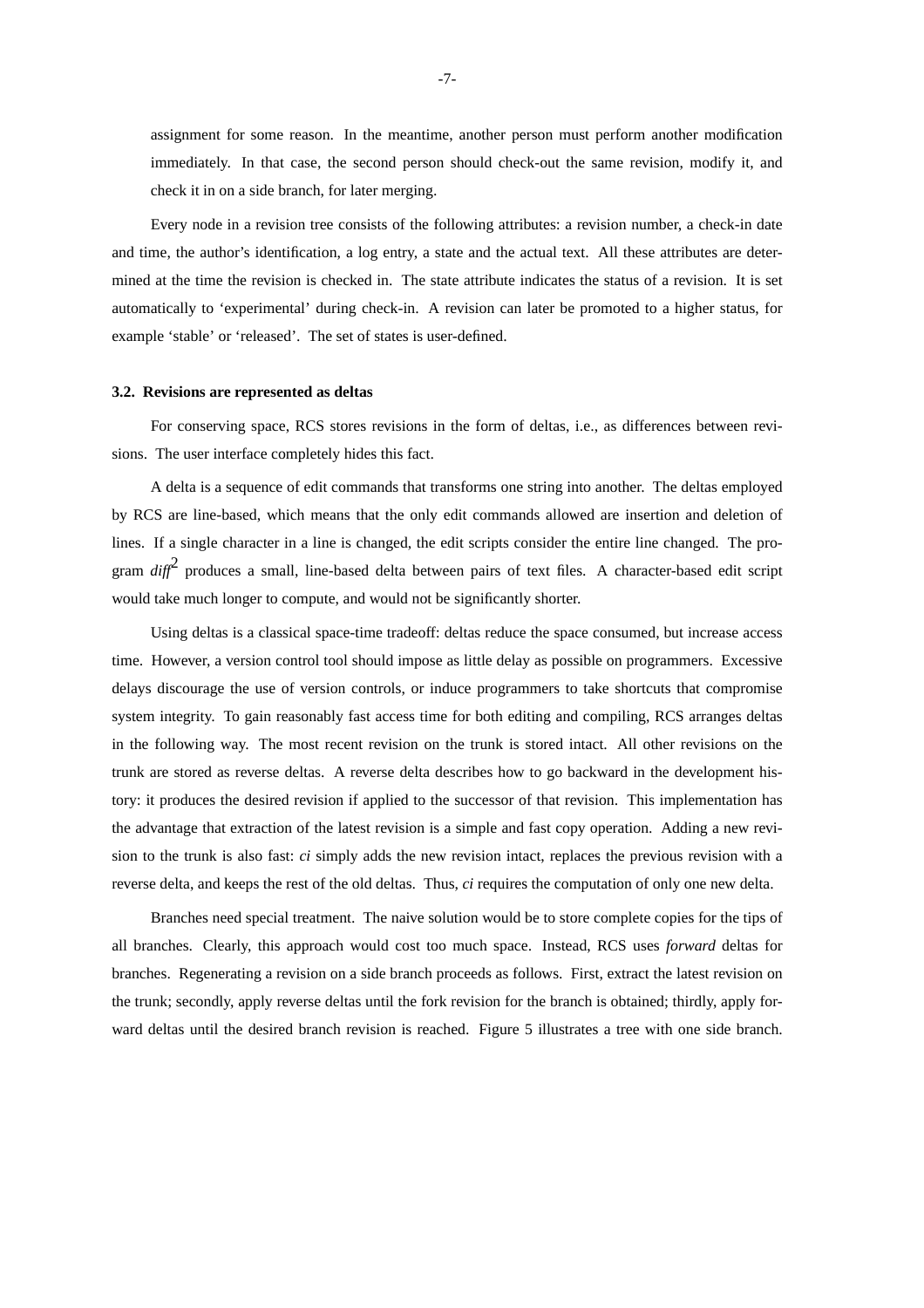assignment for some reason. In the meantime, another person must perform another modification immediately. In that case, the second person should check-out the same revision, modify it, and check it in on a side branch, for later merging.

Every node in a revision tree consists of the following attributes: a revision number, a check-in date and time, the author's identification, a log entry, a state and the actual text. All these attributes are determined at the time the revision is checked in. The state attribute indicates the status of a revision. It is set automatically to 'experimental' during check-in. A revision can later be promoted to a higher status, for example 'stable' or 'released'. The set of states is user-defined.

#### **3.2. Revisions are represented as deltas**

For conserving space, RCS stores revisions in the form of deltas, i.e., as differences between revisions. The user interface completely hides this fact.

A delta is a sequence of edit commands that transforms one string into another. The deltas employed by RCS are line-based, which means that the only edit commands allowed are insertion and deletion of lines. If a single character in a line is changed, the edit scripts consider the entire line changed. The program *diff*<sup>2</sup> produces a small, line-based delta between pairs of text files. A character-based edit script would take much longer to compute, and would not be significantly shorter.

Using deltas is a classical space-time tradeoff: deltas reduce the space consumed, but increase access time. However, a version control tool should impose as little delay as possible on programmers. Excessive delays discourage the use of version controls, or induce programmers to take shortcuts that compromise system integrity. To gain reasonably fast access time for both editing and compiling, RCS arranges deltas in the following way. The most recent revision on the trunk is stored intact. All other revisions on the trunk are stored as reverse deltas. A reverse delta describes how to go backward in the development history: it produces the desired revision if applied to the successor of that revision. This implementation has the advantage that extraction of the latest revision is a simple and fast copy operation. Adding a new revision to the trunk is also fast: *ci* simply adds the new revision intact, replaces the previous revision with a reverse delta, and keeps the rest of the old deltas. Thus, *ci* requires the computation of only one new delta.

Branches need special treatment. The naive solution would be to store complete copies for the tips of all branches. Clearly, this approach would cost too much space. Instead, RCS uses *forward* deltas for branches. Regenerating a revision on a side branch proceeds as follows. First, extract the latest revision on the trunk; secondly, apply reverse deltas until the fork revision for the branch is obtained; thirdly, apply forward deltas until the desired branch revision is reached. Figure 5 illustrates a tree with one side branch.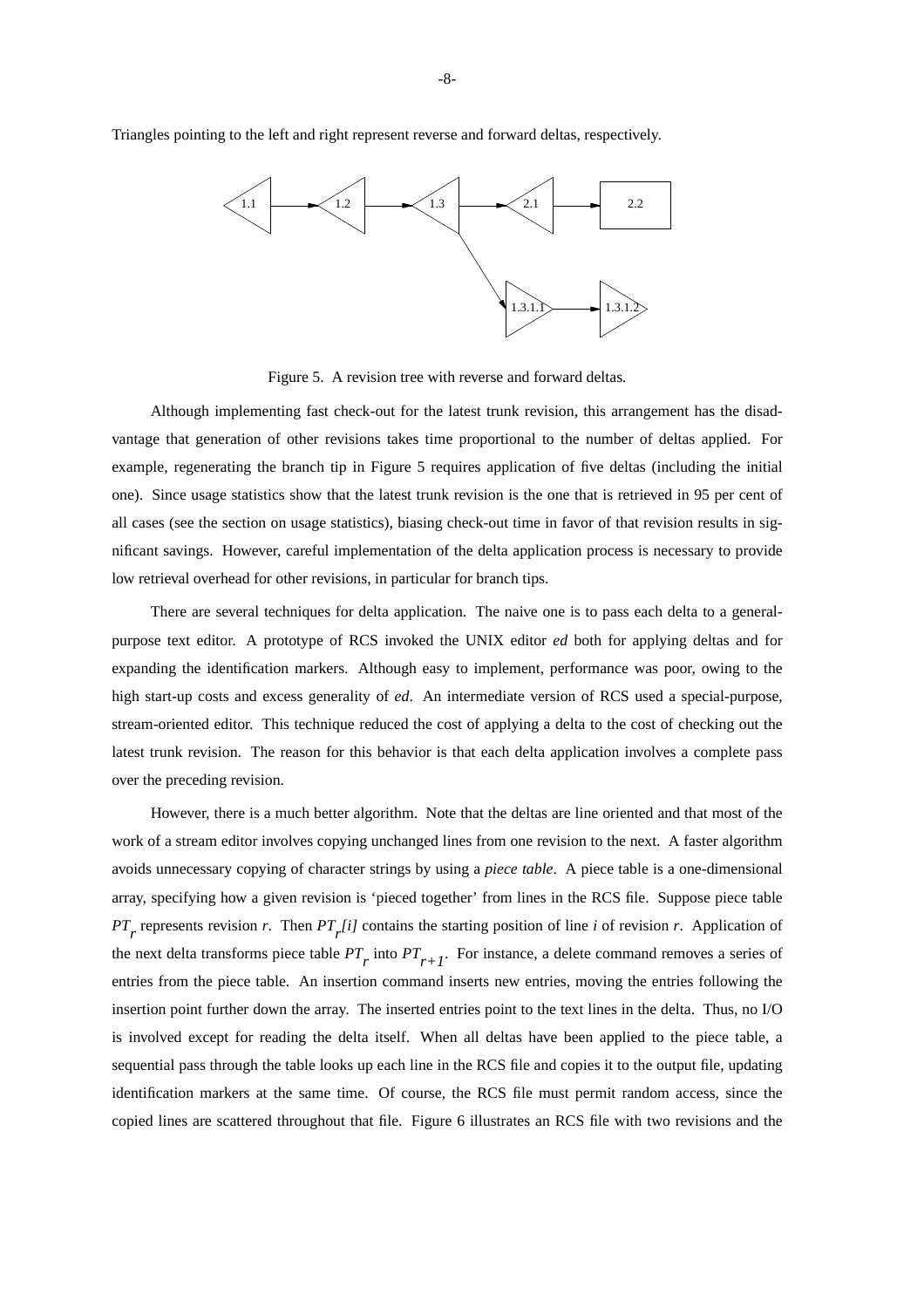

Triangles pointing to the left and right represent reverse and forward deltas, respectively.

Figure 5. A revision tree with reverse and forward deltas.

Although implementing fast check-out for the latest trunk revision, this arrangement has the disadvantage that generation of other revisions takes time proportional to the number of deltas applied. For example, regenerating the branch tip in Figure 5 requires application of five deltas (including the initial one). Since usage statistics show that the latest trunk revision is the one that is retrieved in 95 per cent of all cases (see the section on usage statistics), biasing check-out time in favor of that revision results in significant savings. However, careful implementation of the delta application process is necessary to provide low retrieval overhead for other revisions, in particular for branch tips.

There are several techniques for delta application. The naive one is to pass each delta to a generalpurpose text editor. A prototype of RCS invoked the UNIX editor *ed* both for applying deltas and for expanding the identification markers. Although easy to implement, performance was poor, owing to the high start-up costs and excess generality of *ed*. An intermediate version of RCS used a special-purpose, stream-oriented editor. This technique reduced the cost of applying a delta to the cost of checking out the latest trunk revision. The reason for this behavior is that each delta application involves a complete pass over the preceding revision.

However, there is a much better algorithm. Note that the deltas are line oriented and that most of the work of a stream editor involves copying unchanged lines from one revision to the next. A faster algorithm avoids unnecessary copying of character strings by using a *piece table*. A piece table is a one-dimensional array, specifying how a given revision is 'pieced together' from lines in the RCS file. Suppose piece table  $PT_r$  represents revision *r*. Then  $PT_r[i]$  contains the starting position of line *i* of revision *r*. Application of the next delta transforms piece table  $PT<sub>r</sub>$  into  $PT<sub>r+1</sub>$ . For instance, a delete command removes a series of entries from the piece table. An insertion command inserts new entries, moving the entries following the insertion point further down the array. The inserted entries point to the text lines in the delta. Thus, no I/O is involved except for reading the delta itself. When all deltas have been applied to the piece table, a sequential pass through the table looks up each line in the RCS file and copies it to the output file, updating identification markers at the same time. Of course, the RCS file must permit random access, since the copied lines are scattered throughout that file. Figure 6 illustrates an RCS file with two revisions and the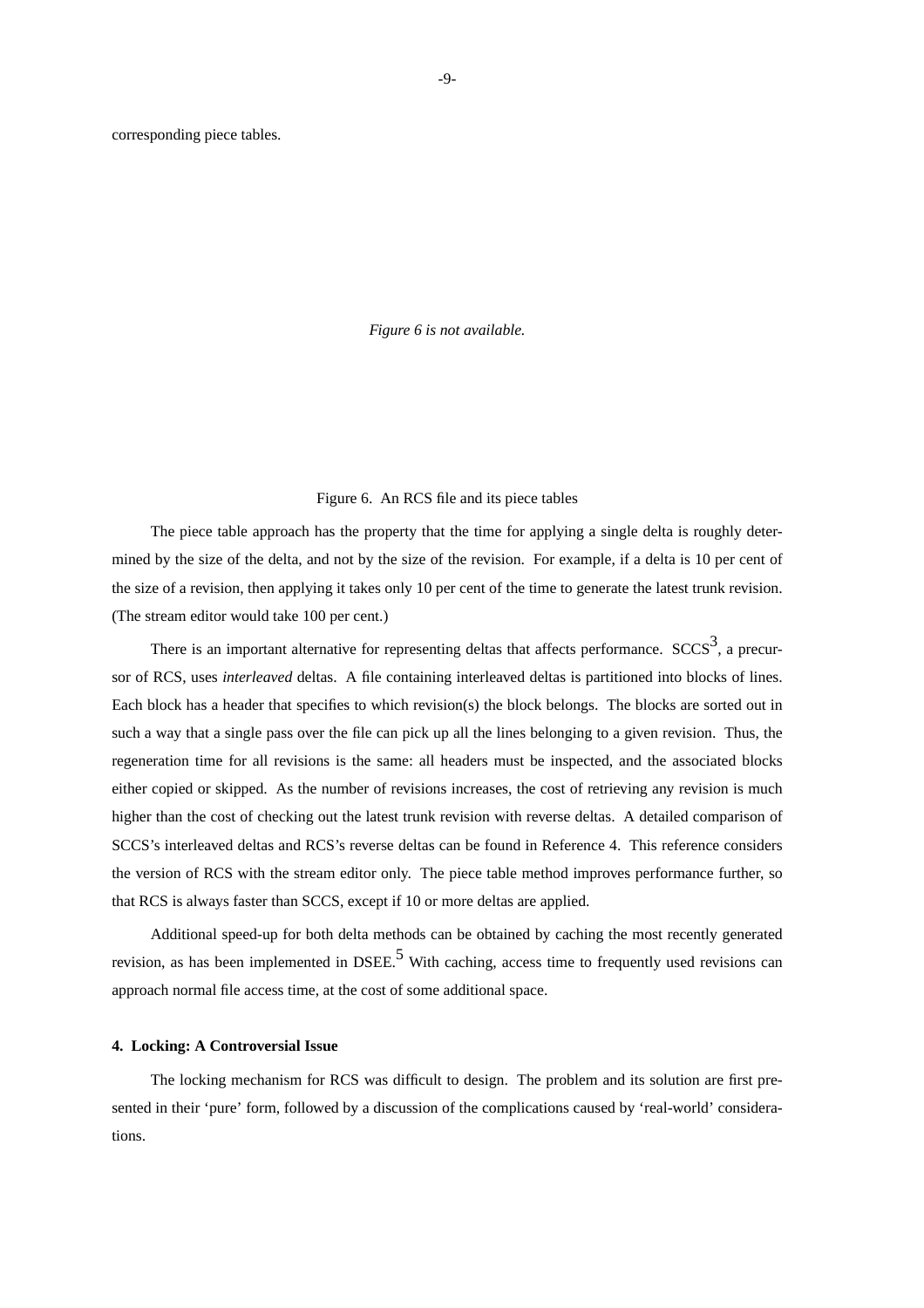corresponding piece tables.

*Figure 6 is not available.*

## Figure 6. An RCS file and its piece tables

The piece table approach has the property that the time for applying a single delta is roughly determined by the size of the delta, and not by the size of the revision. For example, if a delta is 10 per cent of the size of a revision, then applying it takes only 10 per cent of the time to generate the latest trunk revision. (The stream editor would take 100 per cent.)

There is an important alternative for representing deltas that affects performance.  $SCCS<sup>3</sup>$ , a precursor of RCS, uses *interleaved* deltas. A file containing interleaved deltas is partitioned into blocks of lines. Each block has a header that specifies to which revision(s) the block belongs. The blocks are sorted out in such a way that a single pass over the file can pick up all the lines belonging to a given revision. Thus, the regeneration time for all revisions is the same: all headers must be inspected, and the associated blocks either copied or skipped. As the number of revisions increases, the cost of retrieving any revision is much higher than the cost of checking out the latest trunk revision with reverse deltas. A detailed comparison of SCCS's interleaved deltas and RCS's reverse deltas can be found in Reference 4. This reference considers the version of RCS with the stream editor only. The piece table method improves performance further, so that RCS is always faster than SCCS, except if 10 or more deltas are applied.

Additional speed-up for both delta methods can be obtained by caching the most recently generated revision, as has been implemented in DSEE.<sup>5</sup> With caching, access time to frequently used revisions can approach normal file access time, at the cost of some additional space.

## **4. Locking: A Controversial Issue**

The locking mechanism for RCS was difficult to design. The problem and its solution are first presented in their 'pure' form, followed by a discussion of the complications caused by 'real-world' considerations.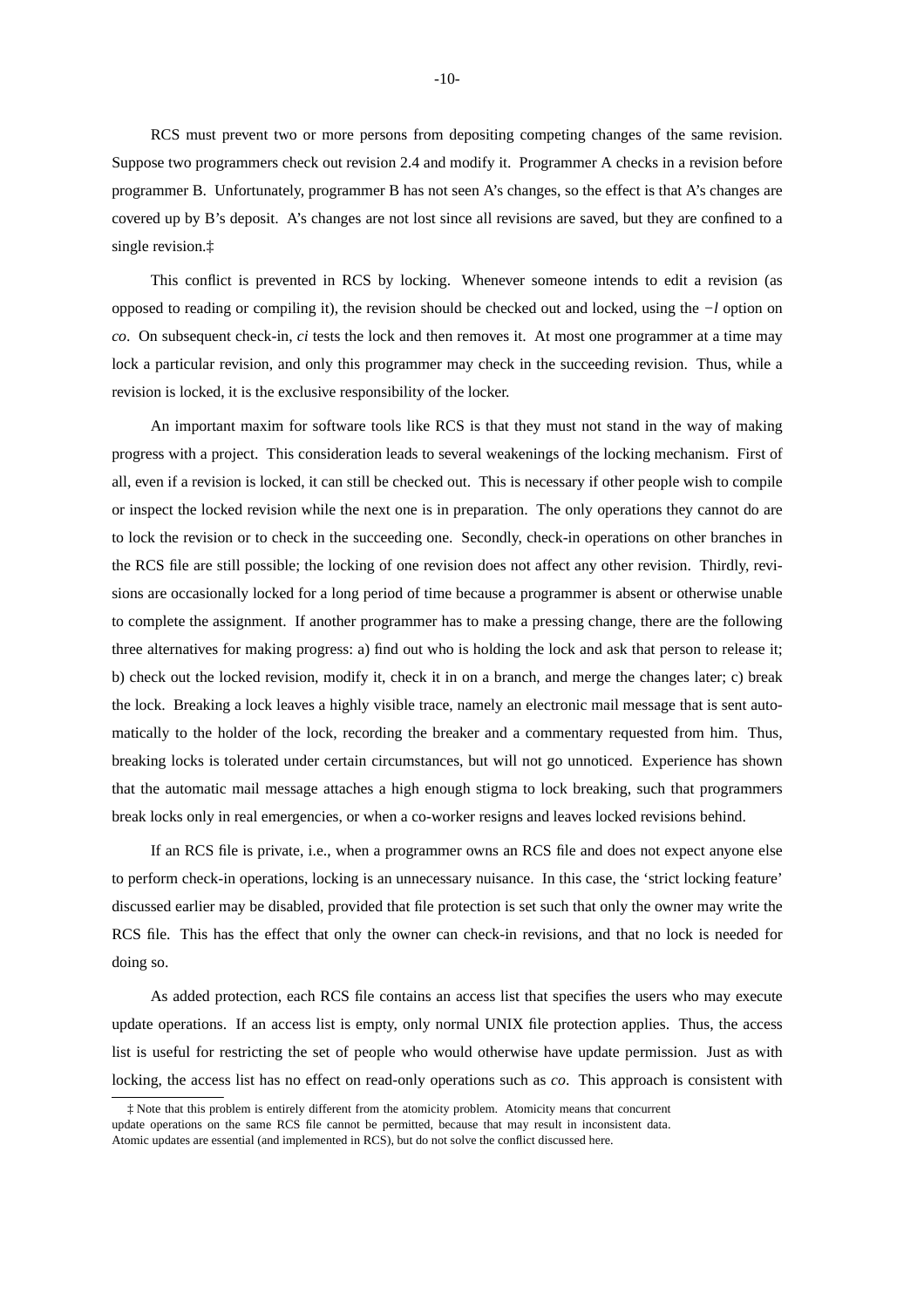RCS must prevent two or more persons from depositing competing changes of the same revision. Suppose two programmers check out revision 2.4 and modify it. Programmer A checks in a revision before programmer B. Unfortunately, programmer B has not seen A's changes, so the effect is that A's changes are covered up by B's deposit. A's changes are not lost since all revisions are saved, but they are confined to a single revision.‡

This conflict is prevented in RCS by locking. Whenever someone intends to edit a revision (as opposed to reading or compiling it), the revision should be checked out and locked, using the *−l* option on *co*. On subsequent check-in, *ci* tests the lock and then removes it. At most one programmer at a time may lock a particular revision, and only this programmer may check in the succeeding revision. Thus, while a revision is locked, it is the exclusive responsibility of the locker.

An important maxim for software tools like RCS is that they must not stand in the way of making progress with a project. This consideration leads to several weakenings of the locking mechanism. First of all, even if a revision is locked, it can still be checked out. This is necessary if other people wish to compile or inspect the locked revision while the next one is in preparation. The only operations they cannot do are to lock the revision or to check in the succeeding one. Secondly, check-in operations on other branches in the RCS file are still possible; the locking of one revision does not affect any other revision. Thirdly, revisions are occasionally locked for a long period of time because a programmer is absent or otherwise unable to complete the assignment. If another programmer has to make a pressing change, there are the following three alternatives for making progress: a) find out who is holding the lock and ask that person to release it; b) check out the locked revision, modify it, check it in on a branch, and merge the changes later; c) break the lock. Breaking a lock leaves a highly visible trace, namely an electronic mail message that is sent automatically to the holder of the lock, recording the breaker and a commentary requested from him. Thus, breaking locks is tolerated under certain circumstances, but will not go unnoticed. Experience has shown that the automatic mail message attaches a high enough stigma to lock breaking, such that programmers break locks only in real emergencies, or when a co-worker resigns and leaves locked revisions behind.

If an RCS file is private, i.e., when a programmer owns an RCS file and does not expect anyone else to perform check-in operations, locking is an unnecessary nuisance. In this case, the 'strict locking feature' discussed earlier may be disabled, provided that file protection is set such that only the owner may write the RCS file. This has the effect that only the owner can check-in revisions, and that no lock is needed for doing so.

As added protection, each RCS file contains an access list that specifies the users who may execute update operations. If an access list is empty, only normal UNIX file protection applies. Thus, the access list is useful for restricting the set of people who would otherwise have update permission. Just as with locking, the access list has no effect on read-only operations such as *co*. This approach is consistent with

<sup>‡</sup> Note that this problem is entirely different from the atomicity problem. Atomicity means that concurrent update operations on the same RCS file cannot be permitted, because that may result in inconsistent data. Atomic updates are essential (and implemented in RCS), but do not solve the conflict discussed here.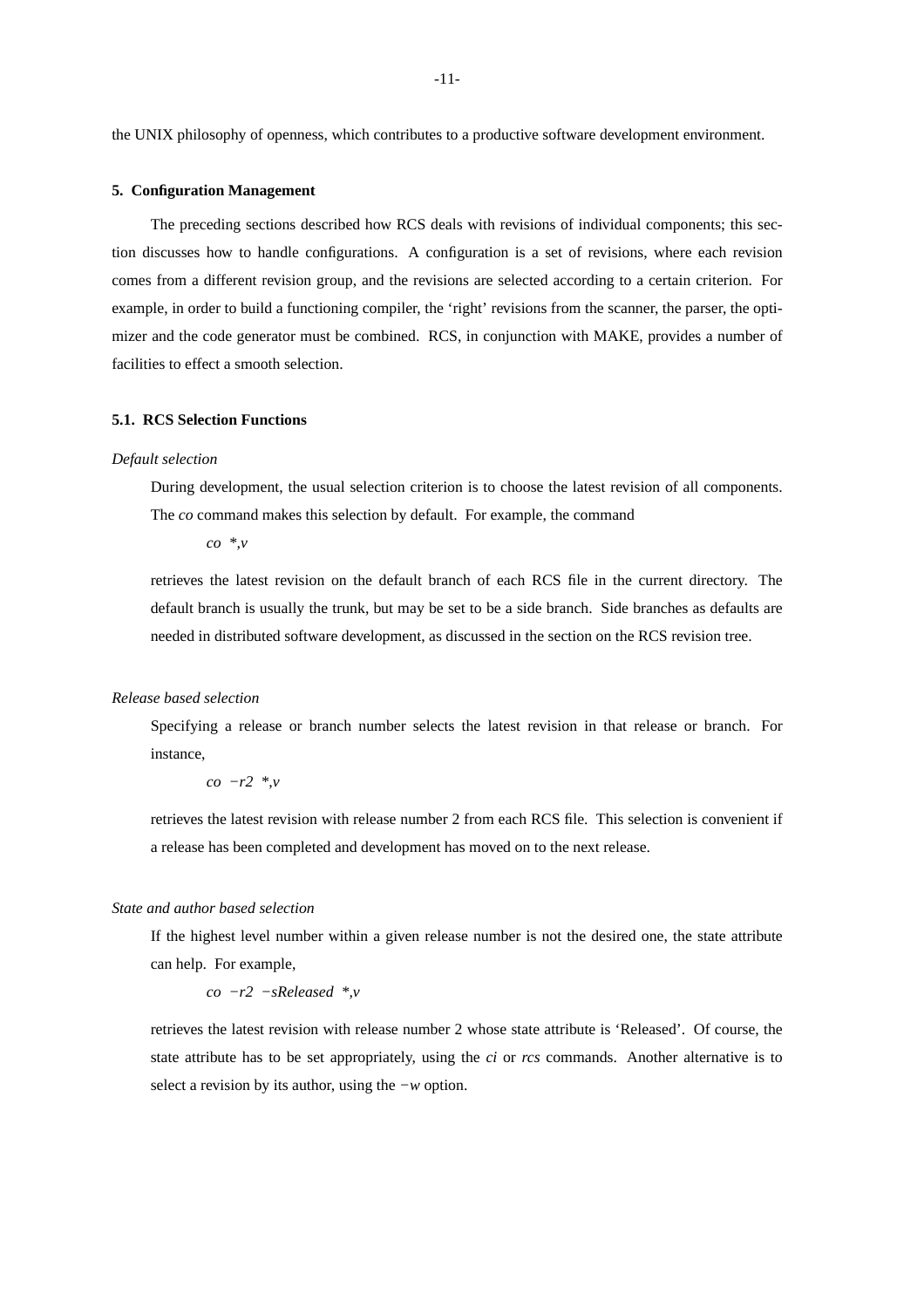the UNIX philosophy of openness, which contributes to a productive software development environment.

### **5. Configuration Management**

The preceding sections described how RCS deals with revisions of individual components; this section discusses how to handle configurations. A configuration is a set of revisions, where each revision comes from a different revision group, and the revisions are selected according to a certain criterion. For example, in order to build a functioning compiler, the 'right' revisions from the scanner, the parser, the optimizer and the code generator must be combined. RCS, in conjunction with MAKE, provides a number of facilities to effect a smooth selection.

# **5.1. RCS Selection Functions**

## *Default selection*

During development, the usual selection criterion is to choose the latest revision of all components. The *co* command makes this selection by default. For example, the command

*co \*,v*

retrieves the latest revision on the default branch of each RCS file in the current directory. The default branch is usually the trunk, but may be set to be a side branch. Side branches as defaults are needed in distributed software development, as discussed in the section on the RCS revision tree.

### *Release based selection*

Specifying a release or branch number selects the latest revision in that release or branch. For instance,

*co −r2 \*,v*

retrieves the latest revision with release number 2 from each RCS file. This selection is convenient if a release has been completed and development has moved on to the next release.

## *State and author based selection*

If the highest level number within a given release number is not the desired one, the state attribute can help. For example,

# *co −r2 −sReleased \*,v*

retrieves the latest revision with release number 2 whose state attribute is 'Released'. Of course, the state attribute has to be set appropriately, using the *ci* or *rcs* commands. Another alternative is to select a revision by its author, using the *−w* option.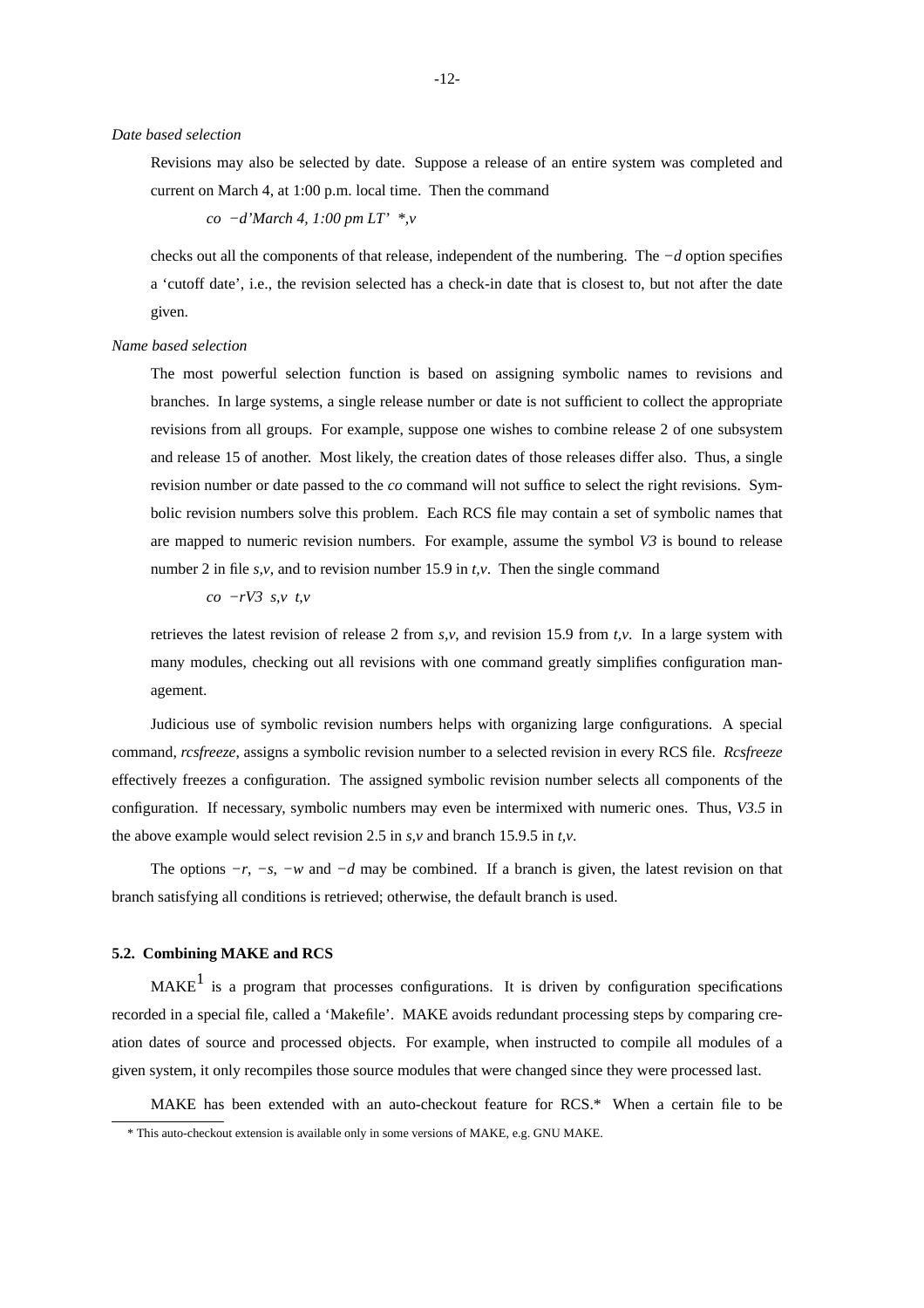### *Date based selection*

Revisions may also be selected by date. Suppose a release of an entire system was completed and current on March 4, at 1:00 p.m. local time. Then the command

*co −d'March 4, 1:00 pm LT' \*,v*

checks out all the components of that release, independent of the numbering. The *−d* option specifies a 'cutoff date', i.e., the revision selected has a check-in date that is closest to, but not after the date given.

### *Name based selection*

The most powerful selection function is based on assigning symbolic names to revisions and branches. In large systems, a single release number or date is not sufficient to collect the appropriate revisions from all groups. For example, suppose one wishes to combine release 2 of one subsystem and release 15 of another. Most likely, the creation dates of those releases differ also. Thus, a single revision number or date passed to the *co* command will not suffice to select the right revisions. Symbolic revision numbers solve this problem. Each RCS file may contain a set of symbolic names that are mapped to numeric revision numbers. For example, assume the symbol *V3* is bound to release number 2 in file *s,v*, and to revision number 15.9 in *t,v*. Then the single command

*co −rV3 s,v t,v*

retrieves the latest revision of release 2 from  $s, v$ , and revision 15.9 from  $t, v$ . In a large system with many modules, checking out all revisions with one command greatly simplifies configuration management.

Judicious use of symbolic revision numbers helps with organizing large configurations. A special command, *rcsfreeze*, assigns a symbolic revision number to a selected revision in every RCS file. *Rcsfreeze* effectively freezes a configuration. The assigned symbolic revision number selects all components of the configuration. If necessary, symbolic numbers may even be intermixed with numeric ones. Thus, *V3.5* in the above example would select revision 2.5 in *s,v* and branch 15.9.5 in *t,v*.

The options *−r*, *−s*, *−w* and *−d* may be combined. If a branch is given, the latest revision on that branch satisfying all conditions is retrieved; otherwise, the default branch is used.

# **5.2. Combining MAKE and RCS**

 $MAKE<sup>1</sup>$  is a program that processes configurations. It is driven by configuration specifications recorded in a special file, called a 'Makefile'. MAKE avoids redundant processing steps by comparing creation dates of source and processed objects. For example, when instructed to compile all modules of a given system, it only recompiles those source modules that were changed since they were processed last.

MAKE has been extended with an auto-checkout feature for RCS.\* When a certain file to be \* This auto-checkout extension is available only in some versions of MAKE, e.g. GNU MAKE.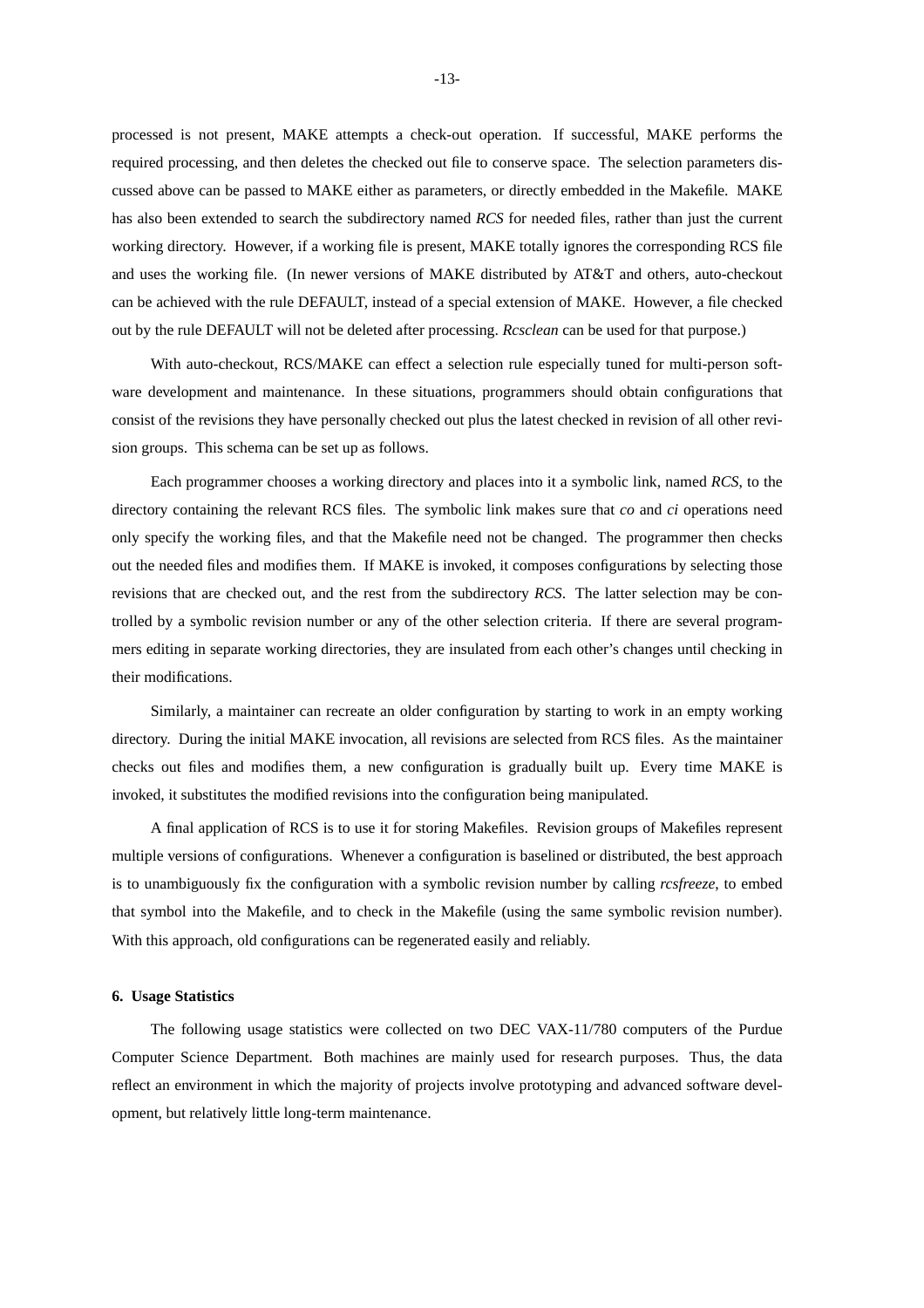processed is not present, MAKE attempts a check-out operation. If successful, MAKE performs the required processing, and then deletes the checked out file to conserve space. The selection parameters discussed above can be passed to MAKE either as parameters, or directly embedded in the Makefile. MAKE has also been extended to search the subdirectory named *RCS* for needed files, rather than just the current working directory. However, if a working file is present, MAKE totally ignores the corresponding RCS file and uses the working file. (In newer versions of MAKE distributed by AT&T and others, auto-checkout can be achieved with the rule DEFAULT, instead of a special extension of MAKE. However, a file checked out by the rule DEFAULT will not be deleted after processing. *Rcsclean* can be used for that purpose.)

With auto-checkout, RCS/MAKE can effect a selection rule especially tuned for multi-person software development and maintenance. In these situations, programmers should obtain configurations that consist of the revisions they have personally checked out plus the latest checked in revision of all other revision groups. This schema can be set up as follows.

Each programmer chooses a working directory and places into it a symbolic link, named *RCS*, to the directory containing the relevant RCS files. The symbolic link makes sure that *co* and *ci* operations need only specify the working files, and that the Makefile need not be changed. The programmer then checks out the needed files and modifies them. If MAKE is invoked, it composes configurations by selecting those revisions that are checked out, and the rest from the subdirectory *RCS*. The latter selection may be controlled by a symbolic revision number or any of the other selection criteria. If there are several programmers editing in separate working directories, they are insulated from each other's changes until checking in their modifications.

Similarly, a maintainer can recreate an older configuration by starting to work in an empty working directory. During the initial MAKE invocation, all revisions are selected from RCS files. As the maintainer checks out files and modifies them, a new configuration is gradually built up. Every time MAKE is invoked, it substitutes the modified revisions into the configuration being manipulated.

A final application of RCS is to use it for storing Makefiles. Revision groups of Makefiles represent multiple versions of configurations. Whenever a configuration is baselined or distributed, the best approach is to unambiguously fix the configuration with a symbolic revision number by calling *rcsfreeze*, to embed that symbol into the Makefile, and to check in the Makefile (using the same symbolic revision number). With this approach, old configurations can be regenerated easily and reliably.

#### **6. Usage Statistics**

The following usage statistics were collected on two DEC VAX-11/780 computers of the Purdue Computer Science Department. Both machines are mainly used for research purposes. Thus, the data reflect an environment in which the majority of projects involve prototyping and advanced software development, but relatively little long-term maintenance.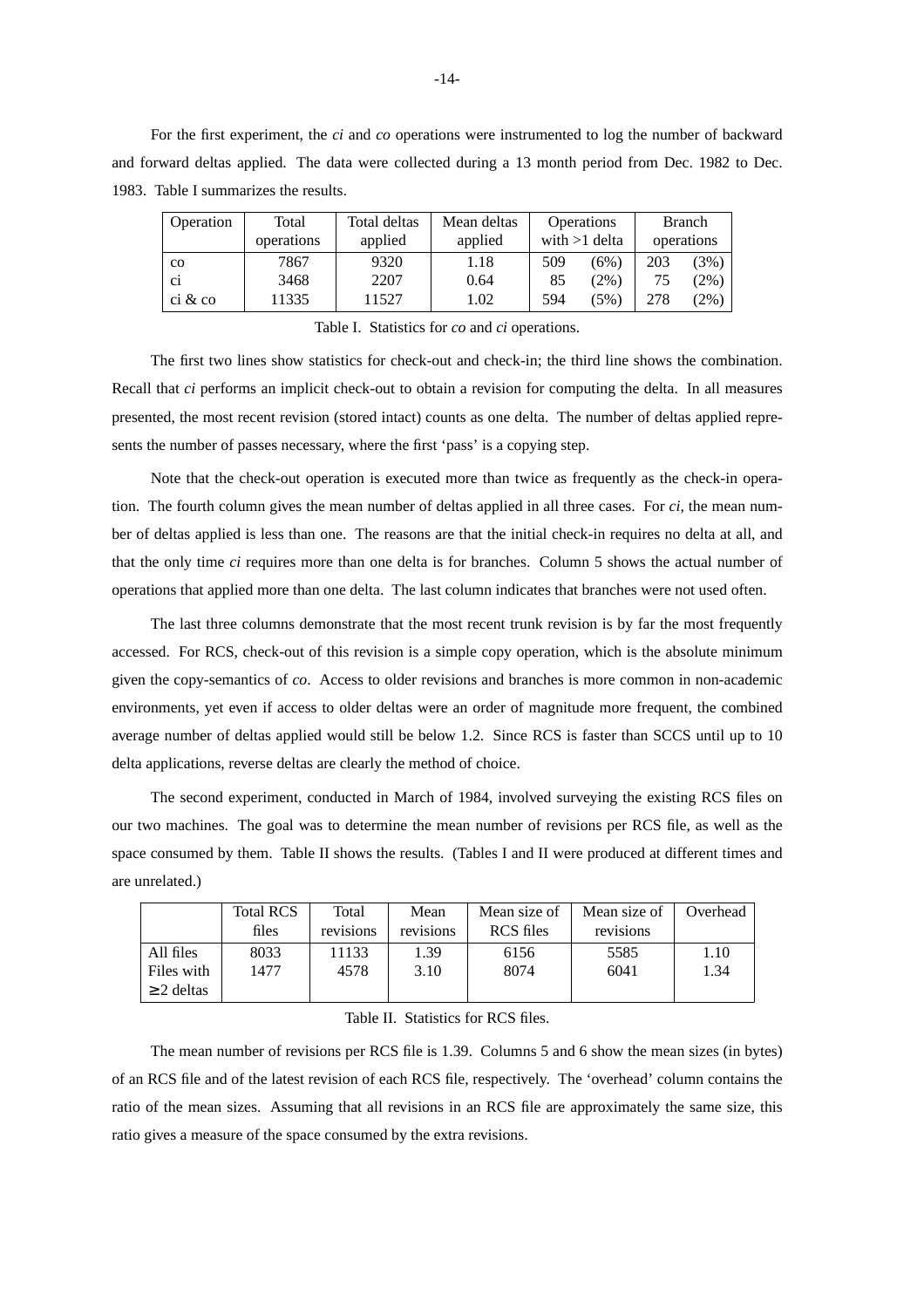For the first experiment, the *ci* and *co* operations were instrumented to log the number of backward and forward deltas applied. The data were collected during a 13 month period from Dec. 1982 to Dec. 1983. Table I summarizes the results.

| Operation   | Total      | Total deltas | Mean deltas | <b>Operations</b> |         |     | <b>Branch</b> |
|-------------|------------|--------------|-------------|-------------------|---------|-----|---------------|
|             | operations | applied      | applied     | with $>1$ delta   |         |     | operations    |
| $_{\rm CO}$ | 7867       | 9320         | 1.18        | 509               | (6%)    | 203 | (3%)          |
| C1          | 3468       | 2207         | 0.64        | 85                | $(2\%)$ | 75  | (2%)          |
| ci & co     | 11335      | 11527        | 1.02        | 594               | (5%)    | 278 | (2%)          |

Table I. Statistics for *co* and *ci* operations.

The first two lines show statistics for check-out and check-in; the third line shows the combination. Recall that *ci* performs an implicit check-out to obtain a revision for computing the delta. In all measures presented, the most recent revision (stored intact) counts as one delta. The number of deltas applied represents the number of passes necessary, where the first 'pass' is a copying step.

Note that the check-out operation is executed more than twice as frequently as the check-in operation. The fourth column gives the mean number of deltas applied in all three cases. For *ci*, the mean number of deltas applied is less than one. The reasons are that the initial check-in requires no delta at all, and that the only time *ci* requires more than one delta is for branches. Column 5 shows the actual number of operations that applied more than one delta. The last column indicates that branches were not used often.

The last three columns demonstrate that the most recent trunk revision is by far the most frequently accessed. For RCS, check-out of this revision is a simple copy operation, which is the absolute minimum given the copy-semantics of *co*. Access to older revisions and branches is more common in non-academic environments, yet even if access to older deltas were an order of magnitude more frequent, the combined average number of deltas applied would still be below 1.2. Since RCS is faster than SCCS until up to 10 delta applications, reverse deltas are clearly the method of choice.

The second experiment, conducted in March of 1984, involved surveying the existing RCS files on our two machines. The goal was to determine the mean number of revisions per RCS file, as well as the space consumed by them. Table II shows the results. (Tables I and II were produced at different times and are unrelated.)

|                               | <b>Total RCS</b><br>files | Total<br>revisions | Mean<br>revisions | Mean size of<br>RCS files | Mean size of<br>revisions | Overhead |
|-------------------------------|---------------------------|--------------------|-------------------|---------------------------|---------------------------|----------|
| All files                     | 8033                      | 11133              | 1.39              | 6156                      | 5585                      | 1.10     |
| Files with<br>$\geq$ 2 deltas | 1477                      | 4578               | 3.10              | 8074                      | 6041                      | 1.34     |

# Table II. Statistics for RCS files.

The mean number of revisions per RCS file is 1.39. Columns 5 and 6 show the mean sizes (in bytes) of an RCS file and of the latest revision of each RCS file, respectively. The 'overhead' column contains the ratio of the mean sizes. Assuming that all revisions in an RCS file are approximately the same size, this ratio gives a measure of the space consumed by the extra revisions.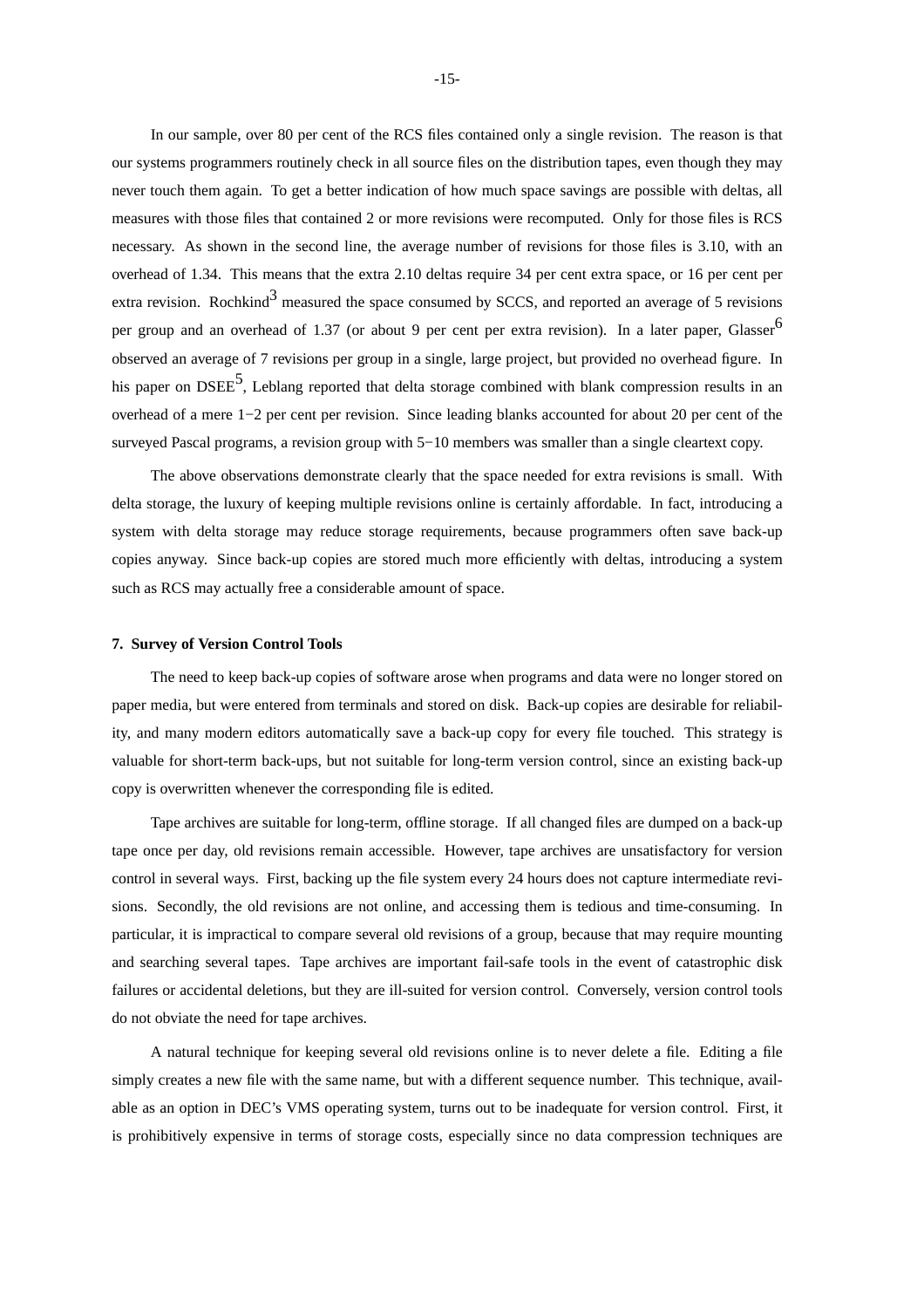In our sample, over 80 per cent of the RCS files contained only a single revision. The reason is that our systems programmers routinely check in all source files on the distribution tapes, even though they may never touch them again. To get a better indication of how much space savings are possible with deltas, all measures with those files that contained 2 or more revisions were recomputed. Only for those files is RCS necessary. As shown in the second line, the average number of revisions for those files is 3.10, with an overhead of 1.34. This means that the extra 2.10 deltas require 34 per cent extra space, or 16 per cent per extra revision. Rochkind<sup>3</sup> measured the space consumed by SCCS, and reported an average of 5 revisions per group and an overhead of 1.37 (or about 9 per cent per extra revision). In a later paper, Glasser<sup>6</sup> observed an average of 7 revisions per group in a single, large project, but provided no overhead figure. In his paper on DSEE<sup>5</sup>, Leblang reported that delta storage combined with blank compression results in an overhead of a mere 1−2 per cent per revision. Since leading blanks accounted for about 20 per cent of the surveyed Pascal programs, a revision group with 5−10 members was smaller than a single cleartext copy.

The above observations demonstrate clearly that the space needed for extra revisions is small. With delta storage, the luxury of keeping multiple revisions online is certainly affordable. In fact, introducing a system with delta storage may reduce storage requirements, because programmers often save back-up copies anyway. Since back-up copies are stored much more efficiently with deltas, introducing a system such as RCS may actually free a considerable amount of space.

#### **7. Survey of Version Control Tools**

The need to keep back-up copies of software arose when programs and data were no longer stored on paper media, but were entered from terminals and stored on disk. Back-up copies are desirable for reliability, and many modern editors automatically save a back-up copy for every file touched. This strategy is valuable for short-term back-ups, but not suitable for long-term version control, since an existing back-up copy is overwritten whenever the corresponding file is edited.

Tape archives are suitable for long-term, offline storage. If all changed files are dumped on a back-up tape once per day, old revisions remain accessible. However, tape archives are unsatisfactory for version control in several ways. First, backing up the file system every 24 hours does not capture intermediate revisions. Secondly, the old revisions are not online, and accessing them is tedious and time-consuming. In particular, it is impractical to compare several old revisions of a group, because that may require mounting and searching several tapes. Tape archives are important fail-safe tools in the event of catastrophic disk failures or accidental deletions, but they are ill-suited for version control. Conversely, version control tools do not obviate the need for tape archives.

A natural technique for keeping several old revisions online is to never delete a file. Editing a file simply creates a new file with the same name, but with a different sequence number. This technique, available as an option in DEC's VMS operating system, turns out to be inadequate for version control. First, it is prohibitively expensive in terms of storage costs, especially since no data compression techniques are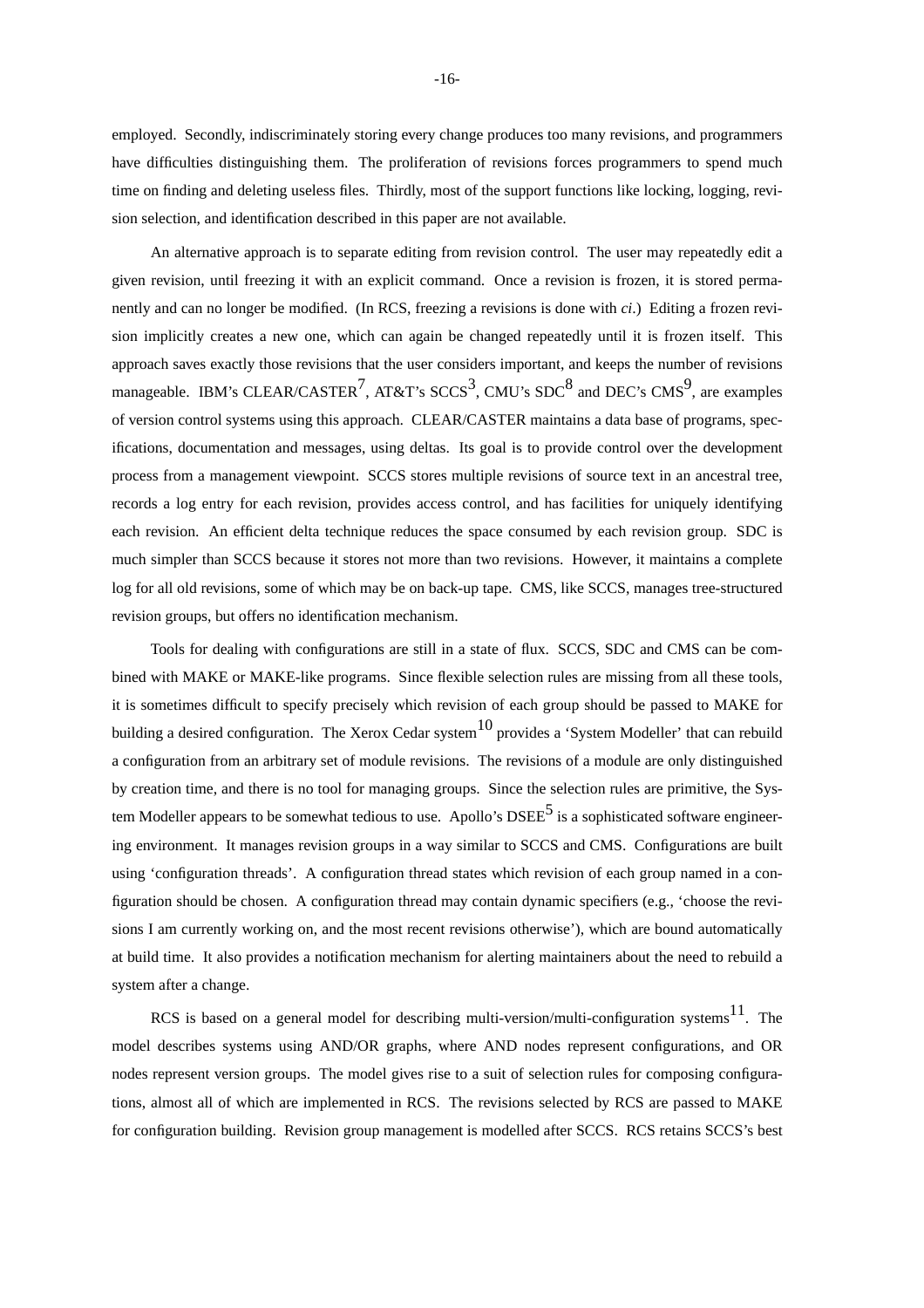employed. Secondly, indiscriminately storing every change produces too many revisions, and programmers have difficulties distinguishing them. The proliferation of revisions forces programmers to spend much time on finding and deleting useless files. Thirdly, most of the support functions like locking, logging, revision selection, and identification described in this paper are not available.

An alternative approach is to separate editing from revision control. The user may repeatedly edit a given revision, until freezing it with an explicit command. Once a revision is frozen, it is stored permanently and can no longer be modified. (In RCS, freezing a revisions is done with *ci*.) Editing a frozen revision implicitly creates a new one, which can again be changed repeatedly until it is frozen itself. This approach saves exactly those revisions that the user considers important, and keeps the number of revisions manageable. IBM's CLEAR/CASTER<sup>7</sup>, AT&T's SCCS<sup>3</sup>, CMU's SDC<sup>8</sup> and DEC's CMS<sup>9</sup>, are examples of version control systems using this approach. CLEAR/CASTER maintains a data base of programs, specifications, documentation and messages, using deltas. Its goal is to provide control over the development process from a management viewpoint. SCCS stores multiple revisions of source text in an ancestral tree, records a log entry for each revision, provides access control, and has facilities for uniquely identifying each revision. An efficient delta technique reduces the space consumed by each revision group. SDC is much simpler than SCCS because it stores not more than two revisions. However, it maintains a complete log for all old revisions, some of which may be on back-up tape. CMS, like SCCS, manages tree-structured revision groups, but offers no identification mechanism.

Tools for dealing with configurations are still in a state of flux. SCCS, SDC and CMS can be combined with MAKE or MAKE-like programs. Since flexible selection rules are missing from all these tools, it is sometimes difficult to specify precisely which revision of each group should be passed to MAKE for building a desired configuration. The Xerox Cedar system  $^{10}$  provides a 'System Modeller' that can rebuild a configuration from an arbitrary set of module revisions. The revisions of a module are only distinguished by creation time, and there is no tool for managing groups. Since the selection rules are primitive, the System Modeller appears to be somewhat tedious to use. Apollo's  $DSEE^{5}$  is a sophisticated software engineering environment. It manages revision groups in a way similar to SCCS and CMS. Configurations are built using 'configuration threads'. A configuration thread states which revision of each group named in a configuration should be chosen. A configuration thread may contain dynamic specifiers (e.g., 'choose the revisions I am currently working on, and the most recent revisions otherwise'), which are bound automatically at build time. It also provides a notification mechanism for alerting maintainers about the need to rebuild a system after a change.

RCS is based on a general model for describing multi-version/multi-configuration systems<sup>11</sup>. The model describes systems using AND/OR graphs, where AND nodes represent configurations, and OR nodes represent version groups. The model gives rise to a suit of selection rules for composing configurations, almost all of which are implemented in RCS. The revisions selected by RCS are passed to MAKE for configuration building. Revision group management is modelled after SCCS. RCS retains SCCS's best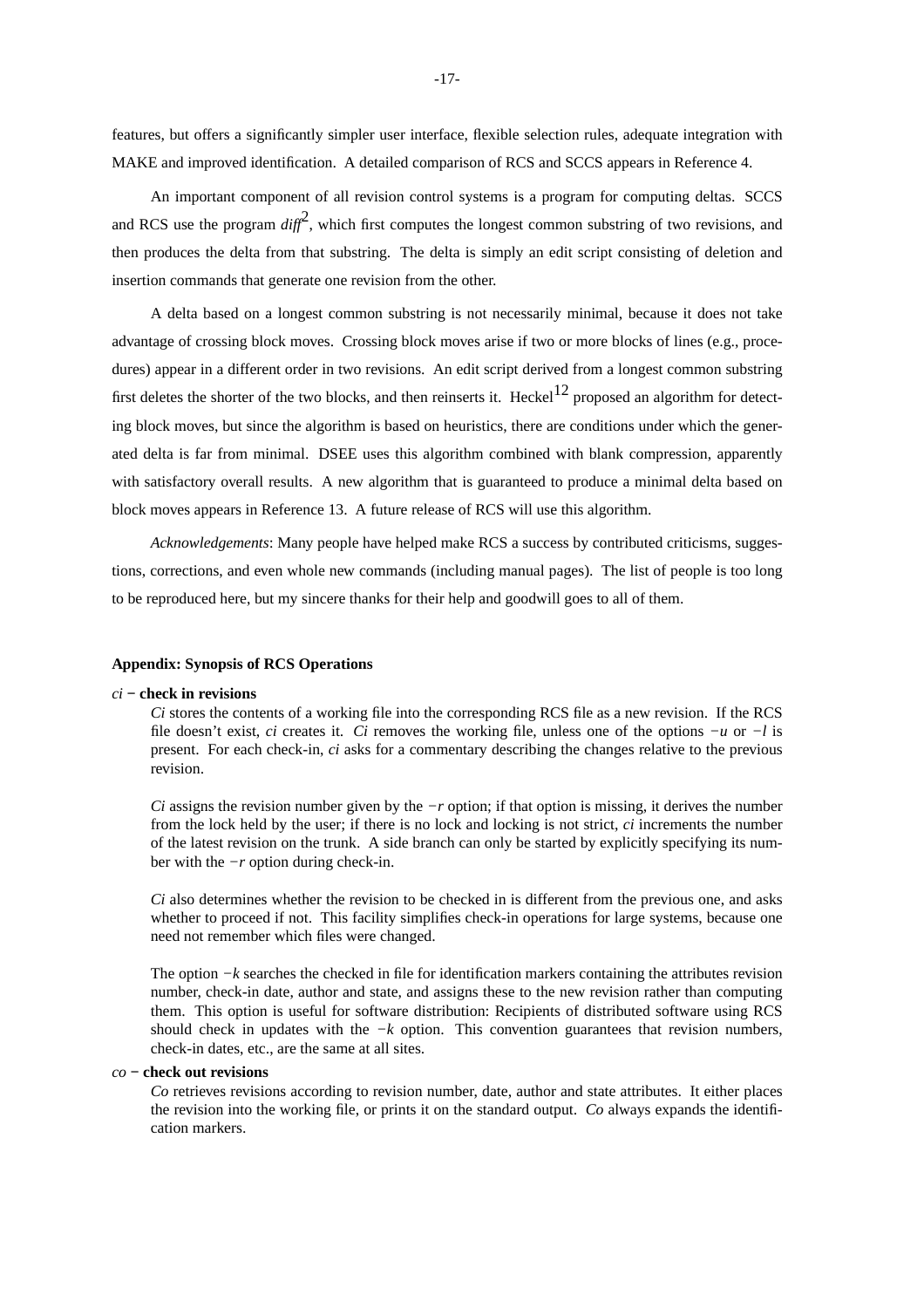features, but offers a significantly simpler user interface, flexible selection rules, adequate integration with MAKE and improved identification. A detailed comparison of RCS and SCCS appears in Reference 4.

An important component of all revision control systems is a program for computing deltas. SCCS and RCS use the program  $\text{diff}^2$ , which first computes the longest common substring of two revisions, and then produces the delta from that substring. The delta is simply an edit script consisting of deletion and insertion commands that generate one revision from the other.

A delta based on a longest common substring is not necessarily minimal, because it does not take advantage of crossing block moves. Crossing block moves arise if two or more blocks of lines (e.g., procedures) appear in a different order in two revisions. An edit script derived from a longest common substring first deletes the shorter of the two blocks, and then reinserts it. Heckel<sup>12</sup> proposed an algorithm for detecting block moves, but since the algorithm is based on heuristics, there are conditions under which the generated delta is far from minimal. DSEE uses this algorithm combined with blank compression, apparently with satisfactory overall results. A new algorithm that is guaranteed to produce a minimal delta based on block moves appears in Reference 13. A future release of RCS will use this algorithm.

*Acknowledgements*: Many people have helped make RCS a success by contributed criticisms, suggestions, corrections, and even whole new commands (including manual pages). The list of people is too long to be reproduced here, but my sincere thanks for their help and goodwill goes to all of them.

### **Appendix: Synopsis of RCS Operations**

#### *ci* **− check in revisions**

*Ci* stores the contents of a working file into the corresponding RCS file as a new revision. If the RCS file doesn't exist, *ci* creates it. *Ci* removes the working file, unless one of the options *−u* or *−l* is present. For each check-in, *ci* asks for a commentary describing the changes relative to the previous revision.

*Ci* assigns the revision number given by the *−r* option; if that option is missing, it derives the number from the lock held by the user; if there is no lock and locking is not strict, *ci* increments the number of the latest revision on the trunk. A side branch can only be started by explicitly specifying its number with the *−r* option during check-in.

*Ci* also determines whether the revision to be checked in is different from the previous one, and asks whether to proceed if not. This facility simplifies check-in operations for large systems, because one need not remember which files were changed.

The option *−k* searches the checked in file for identification markers containing the attributes revision number, check-in date, author and state, and assigns these to the new revision rather than computing them. This option is useful for software distribution: Recipients of distributed software using RCS should check in updates with the *−k* option. This convention guarantees that revision numbers, check-in dates, etc., are the same at all sites.

## *co* **− check out revisions**

*Co* retrieves revisions according to revision number, date, author and state attributes. It either places the revision into the working file, or prints it on the standard output. *Co* always expands the identification markers.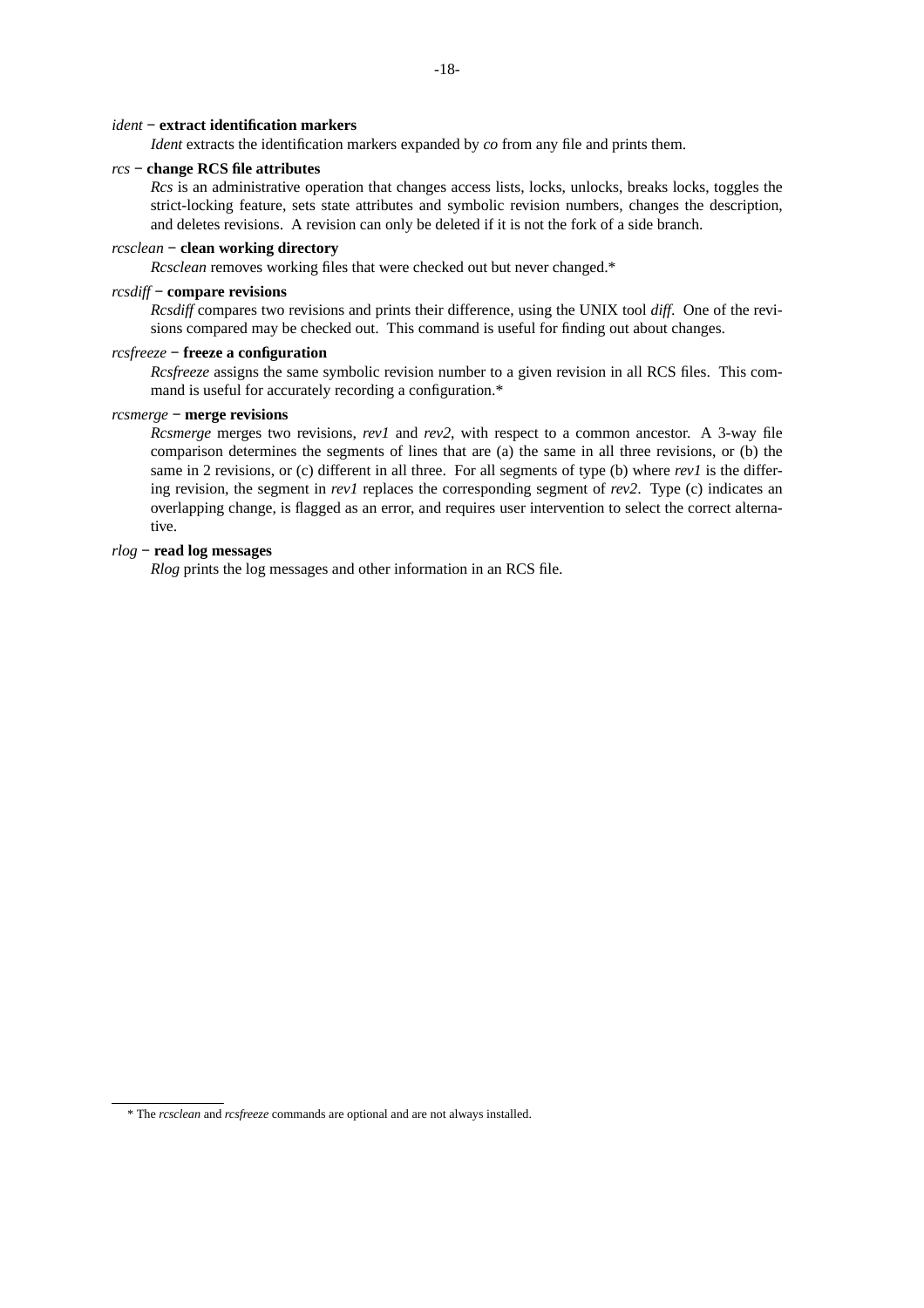### *ident* **− extract identification markers**

*Ident* extracts the identification markers expanded by *co* from any file and prints them.

## *rcs* **− change RCS file attributes**

*Rcs* is an administrative operation that changes access lists, locks, unlocks, breaks locks, toggles the strict-locking feature, sets state attributes and symbolic revision numbers, changes the description, and deletes revisions. A revision can only be deleted if it is not the fork of a side branch.

# *rcsclean* **− clean working directory**

*Rcsclean* removes working files that were checked out but never changed.\*

## *rcsdiff* **− compare revisions**

*Rcsdiff* compares two revisions and prints their difference, using the UNIX tool *diff*. One of the revisions compared may be checked out. This command is useful for finding out about changes.

# *rcsfreeze* **− freeze a configuration**

*Rcsfreeze* assigns the same symbolic revision number to a given revision in all RCS files. This command is useful for accurately recording a configuration.\*

#### *rcsmerge* **− merge revisions**

*Rcsmerge* merges two revisions, *rev1* and *rev2*, with respect to a common ancestor. A 3-way file comparison determines the segments of lines that are (a) the same in all three revisions, or (b) the same in 2 revisions, or (c) different in all three. For all segments of type (b) where  $revl$  is the differing revision, the segment in  $rev1$  replaces the corresponding segment of  $rev2$ . Type (c) indicates an overlapping change, is flagged as an error, and requires user intervention to select the correct alternative.

# *rlog* **− read log messages**

*Rlog* prints the log messages and other information in an RCS file.

<sup>\*</sup> The *rcsclean* and *rcsfreeze* commands are optional and are not always installed.